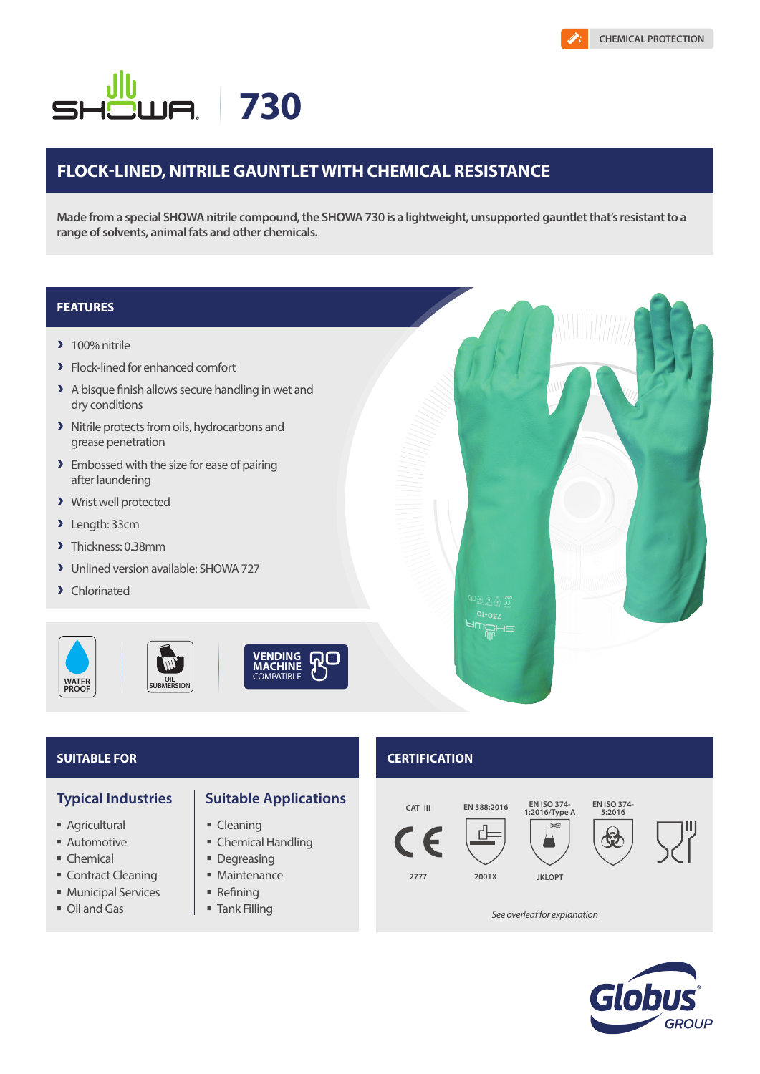# **730** UA. SF

# **FLOCK-LINED, NITRILE GAUNTLET WITH CHEMICAL RESISTANCE**

**Made from a special SHOWA nitrile compound, the SHOWA 730 is a lightweight, unsupported gauntlet that's resistant to a range of solvents, animal fats and other chemicals.** 

## **FEATURES**

- $\lambda$  100% nitrile
- > Flock-lined for enhanced comfort
- A A bisque finish allows secure handling in wet and dry conditions
- > Nitrile protects from oils, hydrocarbons and grease penetration
- > Embossed with the size for ease of pairing after laundering
- > Wrist well protected
- A Length: 33cm
- > Thickness: 0.38mm
- A Unlined version available: SHOWA 727
- > Chlorinated

**WATER PROOF**



- **Agricultural**
- **Automotive**
- Chemical
- **Contract Cleaning**
- **Municipal Services**
- Oil and Gas

# **Typical Industries | Suitable Applications**

- Cleaning
- Chemical Handling
- Degreasing
- **Maintenance**
- $\blacksquare$  Refining
- Tank Filling

# **SUITABLE FOR CERTIFICATION**

01-024



*See overleaf for explanation*